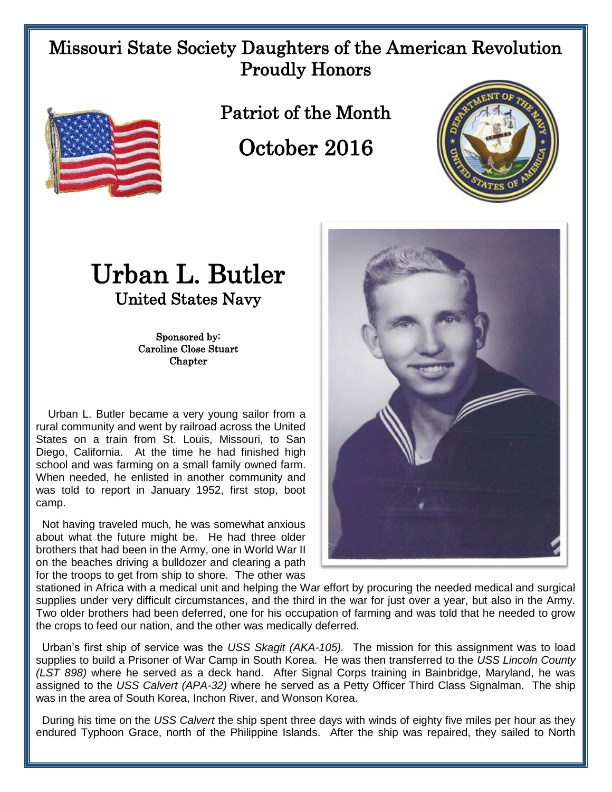## Missouri State Society Daughters of the American Revolution Proudly Honors



Patriot of the Month

October 2016



## Urban L. Butler United States Navy

Sponsored by: Caroline Close Stuart **Chapter** 

 Urban L. Butler became a very young sailor from a rural community and went by railroad across the United States on a train from St. Louis, Missouri, to San Diego, California. At the time he had finished high school and was farming on a small family owned farm. When needed, he enlisted in another community and was told to report in January 1952, first stop, boot camp.

 Not having traveled much, he was somewhat anxious about what the future might be. He had three older brothers that had been in the Army, one in World War II on the beaches driving a bulldozer and clearing a path for the troops to get from ship to shore. The other was



stationed in Africa with a medical unit and helping the War effort by procuring the needed medical and surgical supplies under very difficult circumstances, and the third in the war for just over a year, but also in the Army. Two older brothers had been deferred, one for his occupation of farming and was told that he needed to grow the crops to feed our nation, and the other was medically deferred.

 Urban's first ship of service was the *USS Skagit (AKA-105).* The mission for this assignment was to load supplies to build a Prisoner of War Camp in South Korea. He was then transferred to the *USS Lincoln County (LST 898)* where he served as a deck hand. After Signal Corps training in Bainbridge, Maryland, he was assigned to the *USS Calvert (APA-32)* where he served as a Petty Officer Third Class Signalman. The ship was in the area of South Korea, Inchon River, and Wonson Korea.

During his time on the *USS Calvert* the ship spent three days with winds of eighty five miles per hour as they endured Typhoon Grace, north of the Philippine Islands. After the ship was repaired, they sailed to North